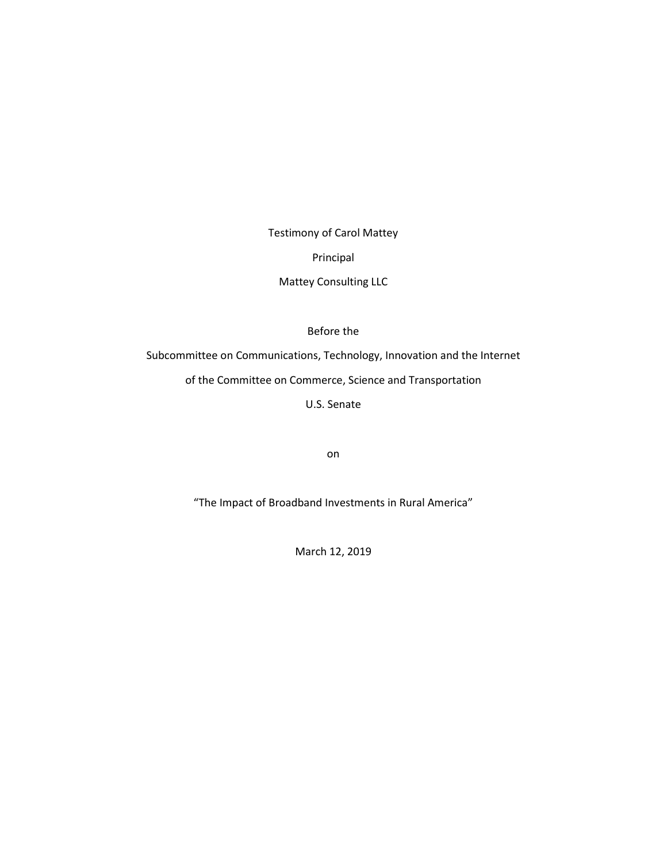Testimony of Carol Mattey Principal

Mattey Consulting LLC

Before the

Subcommittee on Communications, Technology, Innovation and the Internet

of the Committee on Commerce, Science and Transportation

U.S. Senate

on

"The Impact of Broadband Investments in Rural America"

March 12, 2019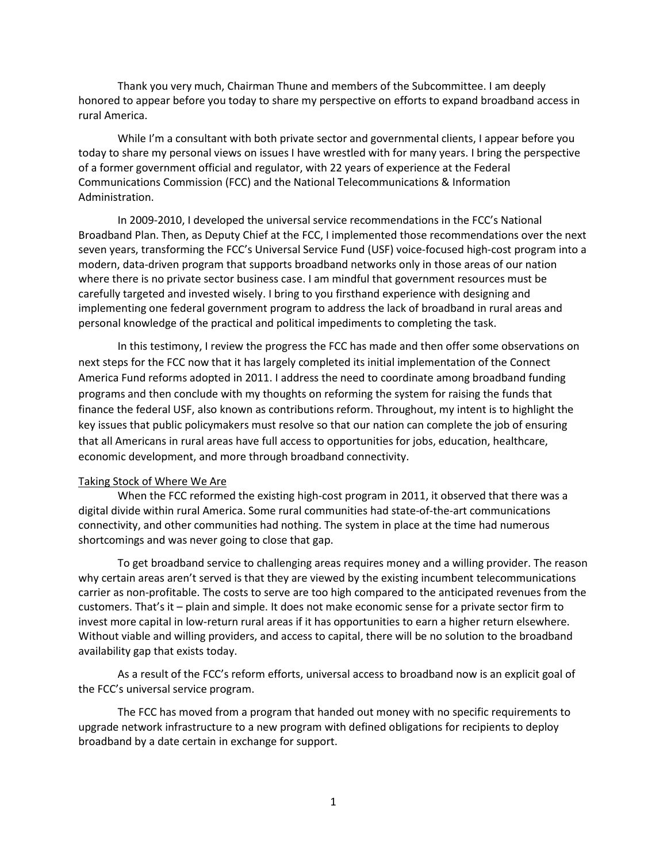Thank you very much, Chairman Thune and members of the Subcommittee. I am deeply honored to appear before you today to share my perspective on efforts to expand broadband access in rural America.

While I'm a consultant with both private sector and governmental clients, I appear before you today to share my personal views on issues I have wrestled with for many years. I bring the perspective of a former government official and regulator, with 22 years of experience at the Federal Communications Commission (FCC) and the National Telecommunications & Information Administration.

In 2009-2010, I developed the universal service recommendations in the FCC's National Broadband Plan. Then, as Deputy Chief at the FCC, I implemented those recommendations over the next seven years, transforming the FCC's Universal Service Fund (USF) voice-focused high-cost program into a modern, data-driven program that supports broadband networks only in those areas of our nation where there is no private sector business case. I am mindful that government resources must be carefully targeted and invested wisely. I bring to you firsthand experience with designing and implementing one federal government program to address the lack of broadband in rural areas and personal knowledge of the practical and political impediments to completing the task.

In this testimony, I review the progress the FCC has made and then offer some observations on next steps for the FCC now that it has largely completed its initial implementation of the Connect America Fund reforms adopted in 2011. I address the need to coordinate among broadband funding programs and then conclude with my thoughts on reforming the system for raising the funds that finance the federal USF, also known as contributions reform. Throughout, my intent is to highlight the key issues that public policymakers must resolve so that our nation can complete the job of ensuring that all Americans in rural areas have full access to opportunities for jobs, education, healthcare, economic development, and more through broadband connectivity.

## Taking Stock of Where We Are

When the FCC reformed the existing high-cost program in 2011, it observed that there was a digital divide within rural America. Some rural communities had state-of-the-art communications connectivity, and other communities had nothing. The system in place at the time had numerous shortcomings and was never going to close that gap.

To get broadband service to challenging areas requires money and a willing provider. The reason why certain areas aren't served is that they are viewed by the existing incumbent telecommunications carrier as non-profitable. The costs to serve are too high compared to the anticipated revenues from the customers. That's it – plain and simple. It does not make economic sense for a private sector firm to invest more capital in low-return rural areas if it has opportunities to earn a higher return elsewhere. Without viable and willing providers, and access to capital, there will be no solution to the broadband availability gap that exists today.

As a result of the FCC's reform efforts, universal access to broadband now is an explicit goal of the FCC's universal service program.

The FCC has moved from a program that handed out money with no specific requirements to upgrade network infrastructure to a new program with defined obligations for recipients to deploy broadband by a date certain in exchange for support.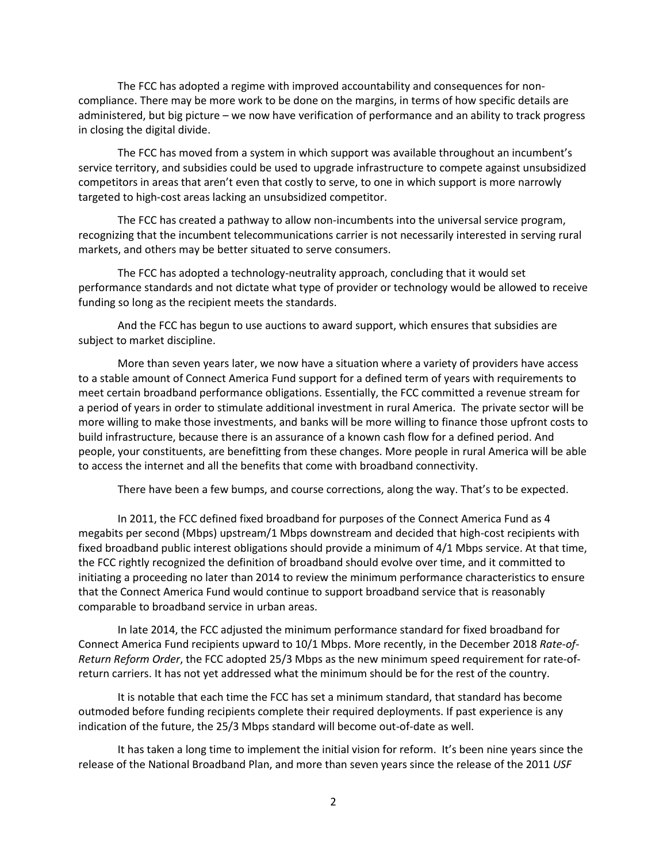The FCC has adopted a regime with improved accountability and consequences for noncompliance. There may be more work to be done on the margins, in terms of how specific details are administered, but big picture – we now have verification of performance and an ability to track progress in closing the digital divide.

The FCC has moved from a system in which support was available throughout an incumbent's service territory, and subsidies could be used to upgrade infrastructure to compete against unsubsidized competitors in areas that aren't even that costly to serve, to one in which support is more narrowly targeted to high-cost areas lacking an unsubsidized competitor.

The FCC has created a pathway to allow non-incumbents into the universal service program, recognizing that the incumbent telecommunications carrier is not necessarily interested in serving rural markets, and others may be better situated to serve consumers.

The FCC has adopted a technology-neutrality approach, concluding that it would set performance standards and not dictate what type of provider or technology would be allowed to receive funding so long as the recipient meets the standards.

And the FCC has begun to use auctions to award support, which ensures that subsidies are subject to market discipline.

More than seven years later, we now have a situation where a variety of providers have access to a stable amount of Connect America Fund support for a defined term of years with requirements to meet certain broadband performance obligations. Essentially, the FCC committed a revenue stream for a period of years in order to stimulate additional investment in rural America. The private sector will be more willing to make those investments, and banks will be more willing to finance those upfront costs to build infrastructure, because there is an assurance of a known cash flow for a defined period. And people, your constituents, are benefitting from these changes. More people in rural America will be able to access the internet and all the benefits that come with broadband connectivity.

There have been a few bumps, and course corrections, along the way. That's to be expected.

In 2011, the FCC defined fixed broadband for purposes of the Connect America Fund as 4 megabits per second (Mbps) upstream/1 Mbps downstream and decided that high-cost recipients with fixed broadband public interest obligations should provide a minimum of 4/1 Mbps service. At that time, the FCC rightly recognized the definition of broadband should evolve over time, and it committed to initiating a proceeding no later than 2014 to review the minimum performance characteristics to ensure that the Connect America Fund would continue to support broadband service that is reasonably comparable to broadband service in urban areas.

In late 2014, the FCC adjusted the minimum performance standard for fixed broadband for Connect America Fund recipients upward to 10/1 Mbps. More recently, in the December 2018 *Rate-of-Return Reform Order*, the FCC adopted 25/3 Mbps as the new minimum speed requirement for rate-ofreturn carriers. It has not yet addressed what the minimum should be for the rest of the country.

It is notable that each time the FCC has set a minimum standard, that standard has become outmoded before funding recipients complete their required deployments. If past experience is any indication of the future, the 25/3 Mbps standard will become out-of-date as well.

It has taken a long time to implement the initial vision for reform. It's been nine years since the release of the National Broadband Plan, and more than seven years since the release of the 2011 *USF*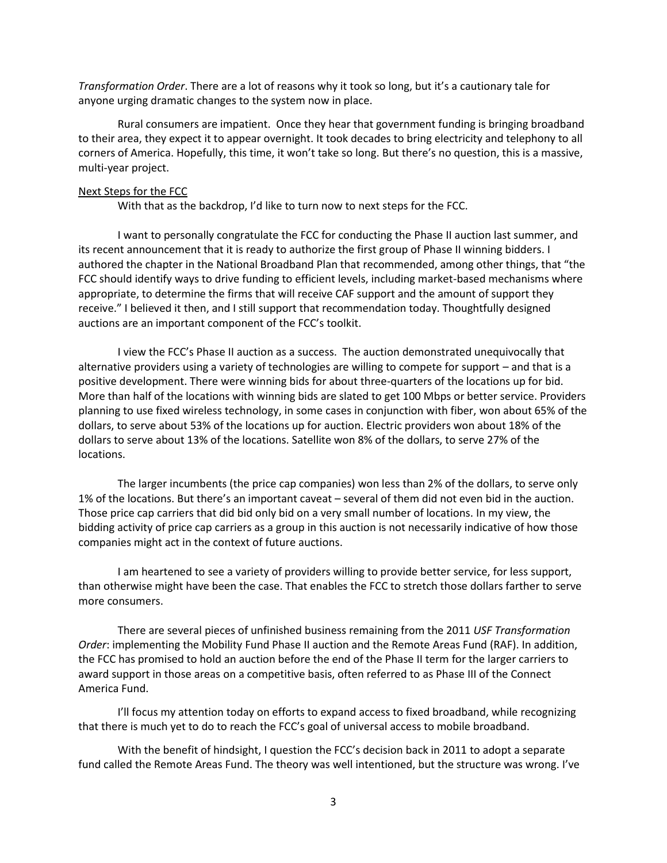*Transformation Order*. There are a lot of reasons why it took so long, but it's a cautionary tale for anyone urging dramatic changes to the system now in place.

Rural consumers are impatient. Once they hear that government funding is bringing broadband to their area, they expect it to appear overnight. It took decades to bring electricity and telephony to all corners of America. Hopefully, this time, it won't take so long. But there's no question, this is a massive, multi-year project.

#### Next Steps for the FCC

With that as the backdrop, I'd like to turn now to next steps for the FCC.

I want to personally congratulate the FCC for conducting the Phase II auction last summer, and its recent announcement that it is ready to authorize the first group of Phase II winning bidders. I authored the chapter in the National Broadband Plan that recommended, among other things, that "the FCC should identify ways to drive funding to efficient levels, including market-based mechanisms where appropriate, to determine the firms that will receive CAF support and the amount of support they receive." I believed it then, and I still support that recommendation today. Thoughtfully designed auctions are an important component of the FCC's toolkit.

I view the FCC's Phase II auction as a success. The auction demonstrated unequivocally that alternative providers using a variety of technologies are willing to compete for support – and that is a positive development. There were winning bids for about three-quarters of the locations up for bid. More than half of the locations with winning bids are slated to get 100 Mbps or better service. Providers planning to use fixed wireless technology, in some cases in conjunction with fiber, won about 65% of the dollars, to serve about 53% of the locations up for auction. Electric providers won about 18% of the dollars to serve about 13% of the locations. Satellite won 8% of the dollars, to serve 27% of the locations.

The larger incumbents (the price cap companies) won less than 2% of the dollars, to serve only 1% of the locations. But there's an important caveat – several of them did not even bid in the auction. Those price cap carriers that did bid only bid on a very small number of locations. In my view, the bidding activity of price cap carriers as a group in this auction is not necessarily indicative of how those companies might act in the context of future auctions.

I am heartened to see a variety of providers willing to provide better service, for less support, than otherwise might have been the case. That enables the FCC to stretch those dollars farther to serve more consumers.

There are several pieces of unfinished business remaining from the 2011 *USF Transformation Order*: implementing the Mobility Fund Phase II auction and the Remote Areas Fund (RAF). In addition, the FCC has promised to hold an auction before the end of the Phase II term for the larger carriers to award support in those areas on a competitive basis, often referred to as Phase III of the Connect America Fund.

I'll focus my attention today on efforts to expand access to fixed broadband, while recognizing that there is much yet to do to reach the FCC's goal of universal access to mobile broadband.

With the benefit of hindsight, I question the FCC's decision back in 2011 to adopt a separate fund called the Remote Areas Fund. The theory was well intentioned, but the structure was wrong. I've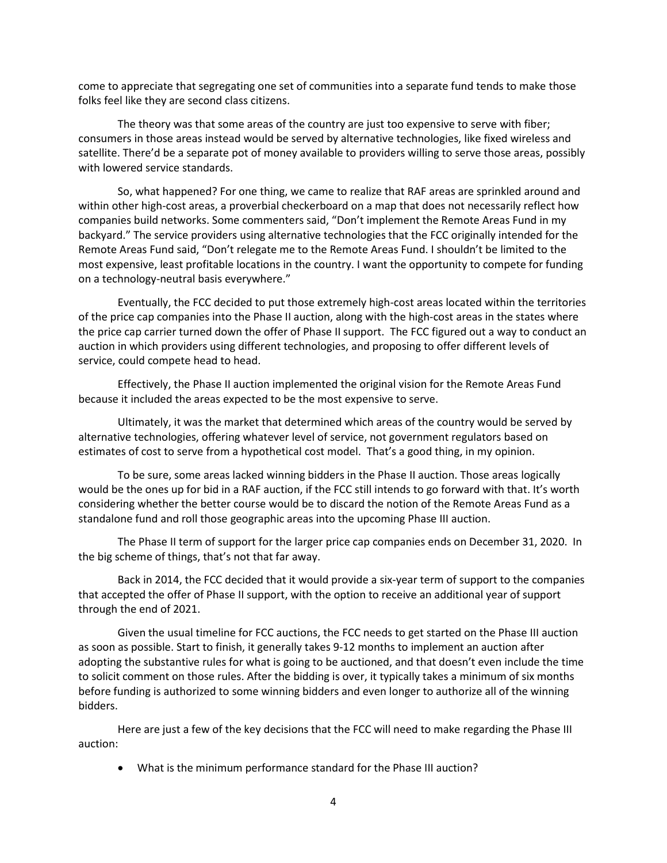come to appreciate that segregating one set of communities into a separate fund tends to make those folks feel like they are second class citizens.

The theory was that some areas of the country are just too expensive to serve with fiber; consumers in those areas instead would be served by alternative technologies, like fixed wireless and satellite. There'd be a separate pot of money available to providers willing to serve those areas, possibly with lowered service standards.

So, what happened? For one thing, we came to realize that RAF areas are sprinkled around and within other high-cost areas, a proverbial checkerboard on a map that does not necessarily reflect how companies build networks. Some commenters said, "Don't implement the Remote Areas Fund in my backyard." The service providers using alternative technologies that the FCC originally intended for the Remote Areas Fund said, "Don't relegate me to the Remote Areas Fund. I shouldn't be limited to the most expensive, least profitable locations in the country. I want the opportunity to compete for funding on a technology-neutral basis everywhere."

Eventually, the FCC decided to put those extremely high-cost areas located within the territories of the price cap companies into the Phase II auction, along with the high-cost areas in the states where the price cap carrier turned down the offer of Phase II support. The FCC figured out a way to conduct an auction in which providers using different technologies, and proposing to offer different levels of service, could compete head to head.

Effectively, the Phase II auction implemented the original vision for the Remote Areas Fund because it included the areas expected to be the most expensive to serve.

Ultimately, it was the market that determined which areas of the country would be served by alternative technologies, offering whatever level of service, not government regulators based on estimates of cost to serve from a hypothetical cost model. That's a good thing, in my opinion.

To be sure, some areas lacked winning bidders in the Phase II auction. Those areas logically would be the ones up for bid in a RAF auction, if the FCC still intends to go forward with that. It's worth considering whether the better course would be to discard the notion of the Remote Areas Fund as a standalone fund and roll those geographic areas into the upcoming Phase III auction.

The Phase II term of support for the larger price cap companies ends on December 31, 2020. In the big scheme of things, that's not that far away.

Back in 2014, the FCC decided that it would provide a six-year term of support to the companies that accepted the offer of Phase II support, with the option to receive an additional year of support through the end of 2021.

Given the usual timeline for FCC auctions, the FCC needs to get started on the Phase III auction as soon as possible. Start to finish, it generally takes 9-12 months to implement an auction after adopting the substantive rules for what is going to be auctioned, and that doesn't even include the time to solicit comment on those rules. After the bidding is over, it typically takes a minimum of six months before funding is authorized to some winning bidders and even longer to authorize all of the winning bidders.

Here are just a few of the key decisions that the FCC will need to make regarding the Phase III auction:

• What is the minimum performance standard for the Phase III auction?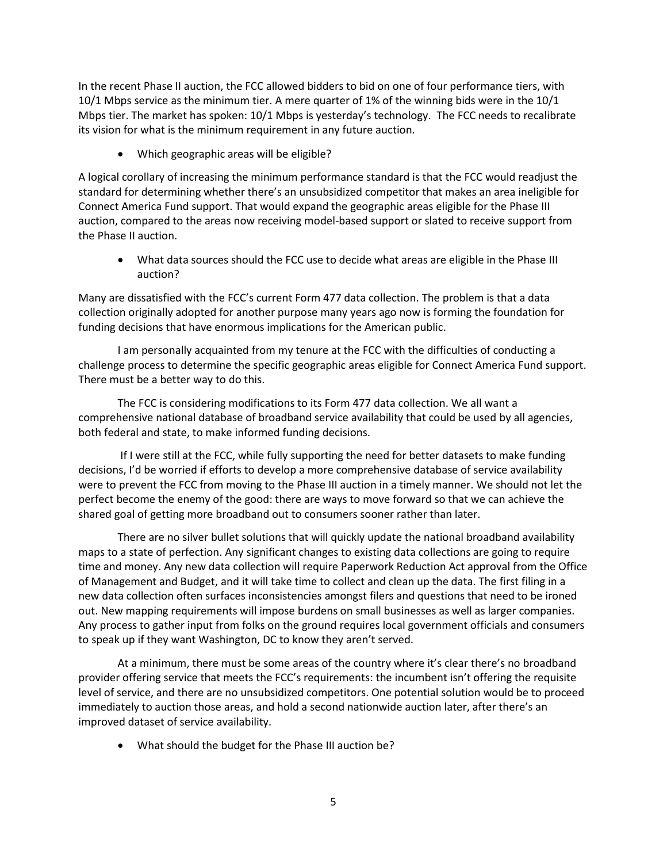In the recent Phase II auction, the FCC allowed bidders to bid on one of four performance tiers, with 10/1 Mbps service as the minimum tier. A mere quarter of 1% of the winning bids were in the 10/1 Mbps tier. The market has spoken: 10/1 Mbps is yesterday's technology. The FCC needs to recalibrate its vision for what is the minimum requirement in any future auction.

• Which geographic areas will be eligible?

A logical corollary of increasing the minimum performance standard is that the FCC would readjust the standard for determining whether there's an unsubsidized competitor that makes an area ineligible for Connect America Fund support. That would expand the geographic areas eligible for the Phase III auction, compared to the areas now receiving model-based support or slated to receive support from the Phase II auction.

• What data sources should the FCC use to decide what areas are eligible in the Phase III auction?

Many are dissatisfied with the FCC's current Form 477 data collection. The problem is that a data collection originally adopted for another purpose many years ago now is forming the foundation for funding decisions that have enormous implications for the American public.

I am personally acquainted from my tenure at the FCC with the difficulties of conducting a challenge process to determine the specific geographic areas eligible for Connect America Fund support. There must be a better way to do this.

The FCC is considering modifications to its Form 477 data collection. We all want a comprehensive national database of broadband service availability that could be used by all agencies, both federal and state, to make informed funding decisions.

If I were still at the FCC, while fully supporting the need for better datasets to make funding decisions, I'd be worried if efforts to develop a more comprehensive database of service availability were to prevent the FCC from moving to the Phase III auction in a timely manner. We should not let the perfect become the enemy of the good: there are ways to move forward so that we can achieve the shared goal of getting more broadband out to consumers sooner rather than later.

There are no silver bullet solutions that will quickly update the national broadband availability maps to a state of perfection. Any significant changes to existing data collections are going to require time and money. Any new data collection will require Paperwork Reduction Act approval from the Office of Management and Budget, and it will take time to collect and clean up the data. The first filing in a new data collection often surfaces inconsistencies amongst filers and questions that need to be ironed out. New mapping requirements will impose burdens on small businesses as well as larger companies. Any process to gather input from folks on the ground requires local government officials and consumers to speak up if they want Washington, DC to know they aren't served.

At a minimum, there must be some areas of the country where it's clear there's no broadband provider offering service that meets the FCC's requirements: the incumbent isn't offering the requisite level of service, and there are no unsubsidized competitors. One potential solution would be to proceed immediately to auction those areas, and hold a second nationwide auction later, after there's an improved dataset of service availability.

• What should the budget for the Phase III auction be?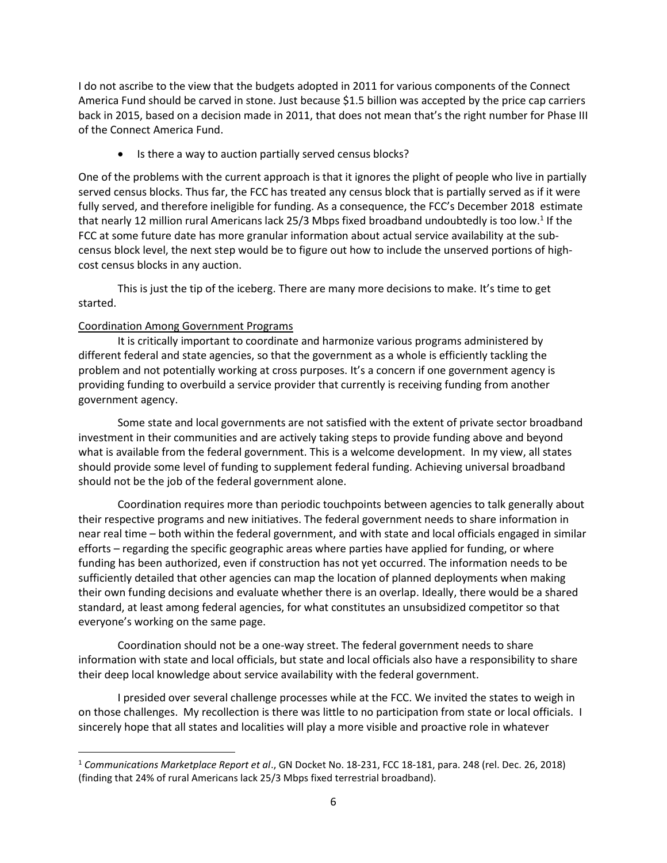I do not ascribe to the view that the budgets adopted in 2011 for various components of the Connect America Fund should be carved in stone. Just because \$1.5 billion was accepted by the price cap carriers back in 2015, based on a decision made in 2011, that does not mean that's the right number for Phase III of the Connect America Fund.

• Is there a way to auction partially served census blocks?

One of the problems with the current approach is that it ignores the plight of people who live in partially served census blocks. Thus far, the FCC has treated any census block that is partially served as if it were fully served, and therefore ineligible for funding. As a consequence, the FCC's December 2018 estimate that nearly 12 million rural Americans lack 25/3 Mbps fixed broadband undoubtedly is too low.<sup>1</sup> If the FCC at some future date has more granular information about actual service availability at the subcensus block level, the next step would be to figure out how to include the unserved portions of highcost census blocks in any auction.

This is just the tip of the iceberg. There are many more decisions to make. It's time to get started.

# Coordination Among Government Programs

 $\overline{\phantom{a}}$ 

It is critically important to coordinate and harmonize various programs administered by different federal and state agencies, so that the government as a whole is efficiently tackling the problem and not potentially working at cross purposes. It's a concern if one government agency is providing funding to overbuild a service provider that currently is receiving funding from another government agency.

Some state and local governments are not satisfied with the extent of private sector broadband investment in their communities and are actively taking steps to provide funding above and beyond what is available from the federal government. This is a welcome development. In my view, all states should provide some level of funding to supplement federal funding. Achieving universal broadband should not be the job of the federal government alone.

Coordination requires more than periodic touchpoints between agencies to talk generally about their respective programs and new initiatives. The federal government needs to share information in near real time – both within the federal government, and with state and local officials engaged in similar efforts – regarding the specific geographic areas where parties have applied for funding, or where funding has been authorized, even if construction has not yet occurred. The information needs to be sufficiently detailed that other agencies can map the location of planned deployments when making their own funding decisions and evaluate whether there is an overlap. Ideally, there would be a shared standard, at least among federal agencies, for what constitutes an unsubsidized competitor so that everyone's working on the same page.

Coordination should not be a one-way street. The federal government needs to share information with state and local officials, but state and local officials also have a responsibility to share their deep local knowledge about service availability with the federal government.

I presided over several challenge processes while at the FCC. We invited the states to weigh in on those challenges. My recollection is there was little to no participation from state or local officials. I sincerely hope that all states and localities will play a more visible and proactive role in whatever

<sup>1</sup> *Communications Marketplace Report et al*., GN Docket No. 18-231, FCC 18-181, para. 248 (rel. Dec. 26, 2018) (finding that 24% of rural Americans lack 25/3 Mbps fixed terrestrial broadband).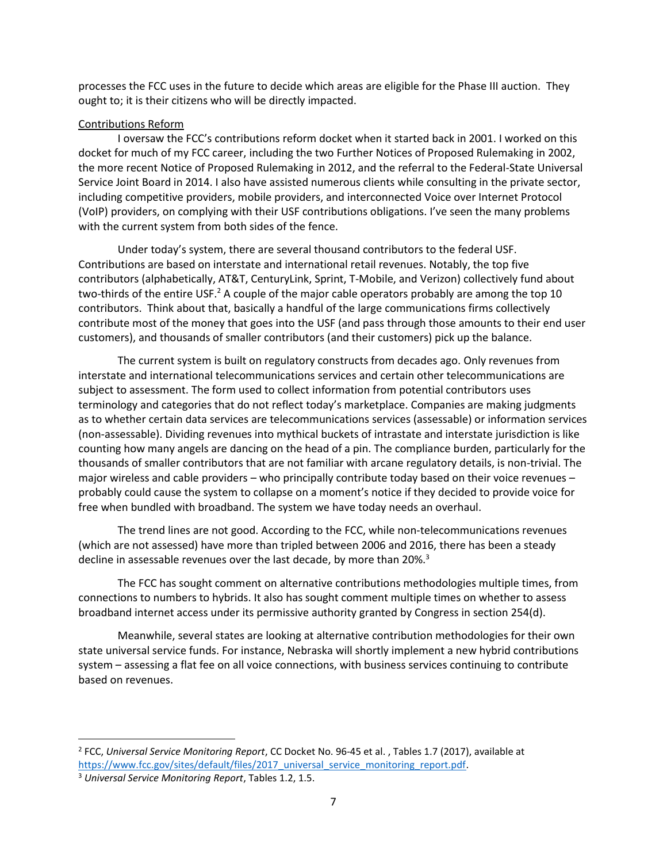processes the FCC uses in the future to decide which areas are eligible for the Phase III auction. They ought to; it is their citizens who will be directly impacted.

# Contributions Reform

I oversaw the FCC's contributions reform docket when it started back in 2001. I worked on this docket for much of my FCC career, including the two Further Notices of Proposed Rulemaking in 2002, the more recent Notice of Proposed Rulemaking in 2012, and the referral to the Federal-State Universal Service Joint Board in 2014. I also have assisted numerous clients while consulting in the private sector, including competitive providers, mobile providers, and interconnected Voice over Internet Protocol (VoIP) providers, on complying with their USF contributions obligations. I've seen the many problems with the current system from both sides of the fence.

Under today's system, there are several thousand contributors to the federal USF. Contributions are based on interstate and international retail revenues. Notably, the top five contributors (alphabetically, AT&T, CenturyLink, Sprint, T-Mobile, and Verizon) collectively fund about two-thirds of the entire USF.<sup>2</sup> A couple of the major cable operators probably are among the top 10 contributors. Think about that, basically a handful of the large communications firms collectively contribute most of the money that goes into the USF (and pass through those amounts to their end user customers), and thousands of smaller contributors (and their customers) pick up the balance.

The current system is built on regulatory constructs from decades ago. Only revenues from interstate and international telecommunications services and certain other telecommunications are subject to assessment. The form used to collect information from potential contributors uses terminology and categories that do not reflect today's marketplace. Companies are making judgments as to whether certain data services are telecommunications services (assessable) or information services (non-assessable). Dividing revenues into mythical buckets of intrastate and interstate jurisdiction is like counting how many angels are dancing on the head of a pin. The compliance burden, particularly for the thousands of smaller contributors that are not familiar with arcane regulatory details, is non-trivial. The major wireless and cable providers – who principally contribute today based on their voice revenues – probably could cause the system to collapse on a moment's notice if they decided to provide voice for free when bundled with broadband. The system we have today needs an overhaul.

The trend lines are not good. According to the FCC, while non-telecommunications revenues (which are not assessed) have more than tripled between 2006 and 2016, there has been a steady decline in assessable revenues over the last decade, by more than 20%.<sup>3</sup>

The FCC has sought comment on alternative contributions methodologies multiple times, from connections to numbers to hybrids. It also has sought comment multiple times on whether to assess broadband internet access under its permissive authority granted by Congress in section 254(d).

Meanwhile, several states are looking at alternative contribution methodologies for their own state universal service funds. For instance, Nebraska will shortly implement a new hybrid contributions system – assessing a flat fee on all voice connections, with business services continuing to contribute based on revenues.

 $\overline{a}$ 

<sup>2</sup> FCC, *Universal Service Monitoring Report*, CC Docket No. 96-45 et al. , Tables 1.7 (2017), available at [https://www.fcc.gov/sites/default/files/2017\\_universal\\_service\\_monitoring\\_report.pdf.](https://www.fcc.gov/sites/default/files/2017_universal_service_monitoring_report.pdf)

<sup>3</sup> *Universal Service Monitoring Report*, Tables 1.2, 1.5.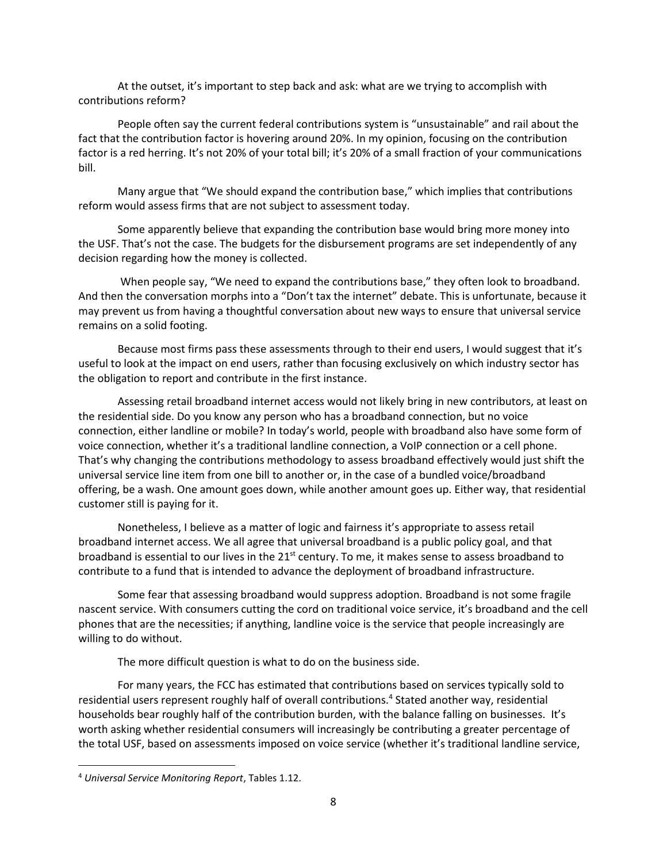At the outset, it's important to step back and ask: what are we trying to accomplish with contributions reform?

People often say the current federal contributions system is "unsustainable" and rail about the fact that the contribution factor is hovering around 20%. In my opinion, focusing on the contribution factor is a red herring. It's not 20% of your total bill; it's 20% of a small fraction of your communications bill.

Many argue that "We should expand the contribution base," which implies that contributions reform would assess firms that are not subject to assessment today.

Some apparently believe that expanding the contribution base would bring more money into the USF. That's not the case. The budgets for the disbursement programs are set independently of any decision regarding how the money is collected.

When people say, "We need to expand the contributions base," they often look to broadband. And then the conversation morphs into a "Don't tax the internet" debate. This is unfortunate, because it may prevent us from having a thoughtful conversation about new ways to ensure that universal service remains on a solid footing.

Because most firms pass these assessments through to their end users, I would suggest that it's useful to look at the impact on end users, rather than focusing exclusively on which industry sector has the obligation to report and contribute in the first instance.

Assessing retail broadband internet access would not likely bring in new contributors, at least on the residential side. Do you know any person who has a broadband connection, but no voice connection, either landline or mobile? In today's world, people with broadband also have some form of voice connection, whether it's a traditional landline connection, a VoIP connection or a cell phone. That's why changing the contributions methodology to assess broadband effectively would just shift the universal service line item from one bill to another or, in the case of a bundled voice/broadband offering, be a wash. One amount goes down, while another amount goes up. Either way, that residential customer still is paying for it.

Nonetheless, I believe as a matter of logic and fairness it's appropriate to assess retail broadband internet access. We all agree that universal broadband is a public policy goal, and that broadband is essential to our lives in the 21<sup>st</sup> century. To me, it makes sense to assess broadband to contribute to a fund that is intended to advance the deployment of broadband infrastructure.

Some fear that assessing broadband would suppress adoption. Broadband is not some fragile nascent service. With consumers cutting the cord on traditional voice service, it's broadband and the cell phones that are the necessities; if anything, landline voice is the service that people increasingly are willing to do without.

The more difficult question is what to do on the business side.

For many years, the FCC has estimated that contributions based on services typically sold to residential users represent roughly half of overall contributions.<sup>4</sup> Stated another way, residential households bear roughly half of the contribution burden, with the balance falling on businesses. It's worth asking whether residential consumers will increasingly be contributing a greater percentage of the total USF, based on assessments imposed on voice service (whether it's traditional landline service,

 $\overline{\phantom{a}}$ 

<sup>4</sup> *Universal Service Monitoring Report*, Tables 1.12.